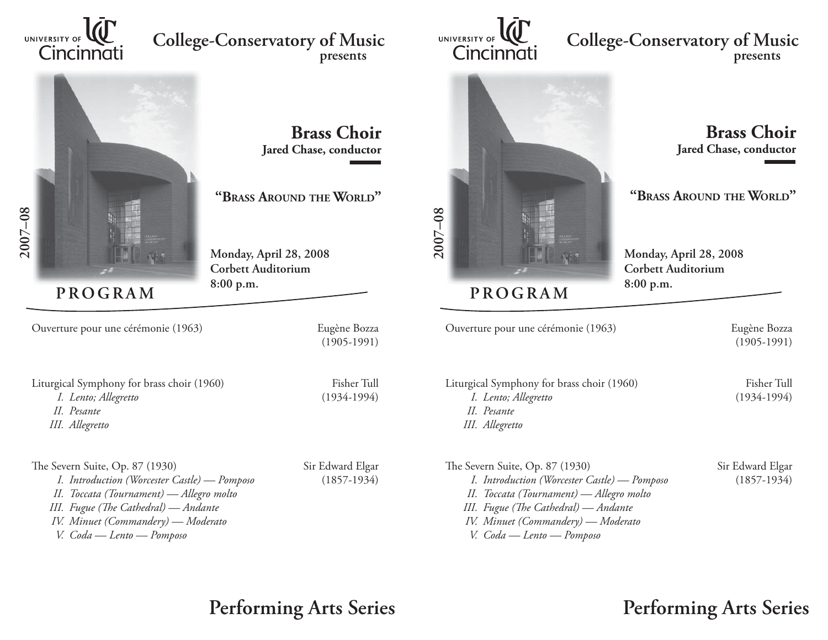

# UNIVERSITY OF **WE**<br>Cincinnati<br>Cincinnati **presents**



# **Brass ChoirJared Chase, conductor**

## **"BRASS AROUND THE WORLD "**

**Monday, April 28, 2008 Corbett Auditorium8:00 p.m.**

**PROGRAM**

Ouverture pour une cérémonie (1963) Eugène Bozza

(1905-1991)

Liturgical Symphony for brass choir (1960) Fisher Tull *I. Lento; Allegretto* (1934-1994) *II. Pesante*

 *III. Allegretto*

The Severn Suite, Op. 87 (1930) Sir Edward Elgar *I. Introduction (Worcester Castle) — Pomposo* (1857-1934) *II. Toccata (Tournament) — Allegro molto III. Fugue (The Cathedral) — Andante IV. Minuet (Commandery) — Moderato V. Coda — Lento — Pomposo*

**Performing Arts Series**